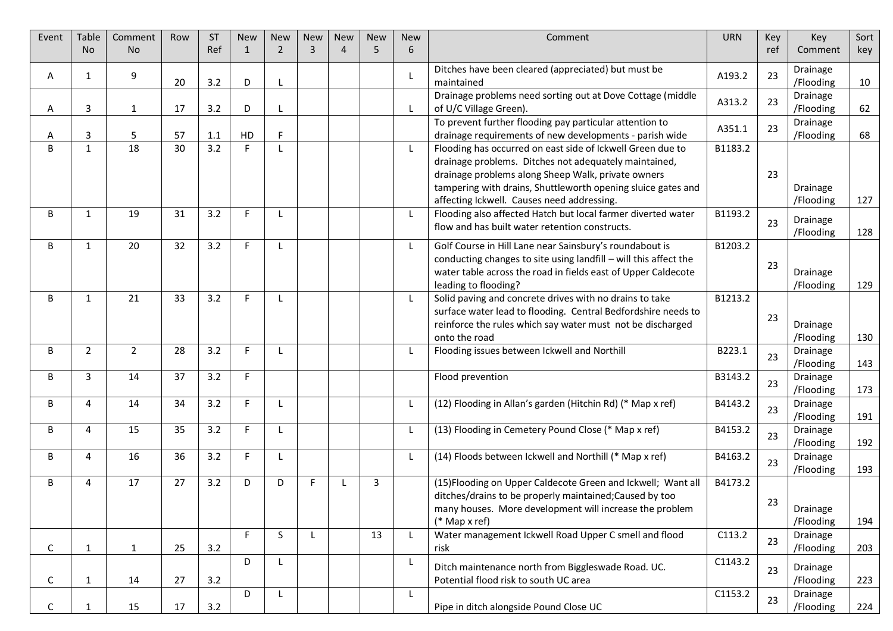| Event        | Table          | Comment        | Row | <b>ST</b> | <b>New</b> | <b>New</b>     | <b>New</b>     | <b>New</b>                  | <b>New</b> | <b>New</b>   | Comment                                                                                                                                                                                                                                                                                 | <b>URN</b> | Key | Key                   | Sort |
|--------------|----------------|----------------|-----|-----------|------------|----------------|----------------|-----------------------------|------------|--------------|-----------------------------------------------------------------------------------------------------------------------------------------------------------------------------------------------------------------------------------------------------------------------------------------|------------|-----|-----------------------|------|
|              | <b>No</b>      | <b>No</b>      |     | Ref       | 1          | $\overline{2}$ | $\overline{3}$ | $\boldsymbol{\vartriangle}$ | 5          | 6            |                                                                                                                                                                                                                                                                                         |            | ref | Comment               | key  |
| A            | 1              | 9              | 20  | 3.2       | D          | $\mathsf{L}$   |                |                             |            |              | Ditches have been cleared (appreciated) but must be<br>maintained                                                                                                                                                                                                                       | A193.2     | 23  | Drainage<br>/Flooding | 10   |
| A            | 3              | 1              | 17  | 3.2       | D          |                |                |                             |            | -L           | Drainage problems need sorting out at Dove Cottage (middle<br>of U/C Village Green).                                                                                                                                                                                                    | A313.2     | 23  | Drainage<br>/Flooding | 62   |
| A            | 3              | 5              | 57  | 1.1       | HD         | F              |                |                             |            |              | To prevent further flooding pay particular attention to<br>drainage requirements of new developments - parish wide                                                                                                                                                                      | A351.1     | 23  | Drainage<br>/Flooding | 68   |
| <sub>B</sub> | $\mathbf{1}$   | 18             | 30  | 3.2       | F.         | $\mathsf{L}$   |                |                             |            | -L           | Flooding has occurred on east side of Ickwell Green due to<br>drainage problems. Ditches not adequately maintained,<br>drainage problems along Sheep Walk, private owners<br>tampering with drains, Shuttleworth opening sluice gates and<br>affecting Ickwell. Causes need addressing. | B1183.2    | 23  | Drainage<br>/Flooding | 127  |
| B            | 1              | 19             | 31  | 3.2       | F.         | $\mathbf{I}$   |                |                             |            | -L           | Flooding also affected Hatch but local farmer diverted water<br>flow and has built water retention constructs.                                                                                                                                                                          | B1193.2    | 23  | Drainage<br>/Flooding | 128  |
| B            | 1              | 20             | 32  | 3.2       | F.         |                |                |                             |            | L            | Golf Course in Hill Lane near Sainsbury's roundabout is<br>conducting changes to site using landfill - will this affect the<br>water table across the road in fields east of Upper Caldecote<br>leading to flooding?                                                                    | B1203.2    | 23  | Drainage<br>/Flooding | 129  |
| B            | $\mathbf{1}$   | 21             | 33  | 3.2       | F          | L              |                |                             |            | -L           | Solid paving and concrete drives with no drains to take<br>surface water lead to flooding. Central Bedfordshire needs to<br>reinforce the rules which say water must not be discharged<br>onto the road                                                                                 | B1213.2    | 23  | Drainage<br>/Flooding | 130  |
| B            | $\overline{2}$ | $\overline{2}$ | 28  | 3.2       | F.         | $\mathbf{I}$   |                |                             |            | -L           | Flooding issues between Ickwell and Northill                                                                                                                                                                                                                                            | B223.1     | 23  | Drainage<br>/Flooding | 143  |
| B            | 3              | 14             | 37  | 3.2       | F.         |                |                |                             |            |              | Flood prevention                                                                                                                                                                                                                                                                        | B3143.2    | 23  | Drainage<br>/Flooding | 173  |
| B            | 4              | 14             | 34  | 3.2       | E          | L              |                |                             |            | L            | (12) Flooding in Allan's garden (Hitchin Rd) (* Map x ref)                                                                                                                                                                                                                              | B4143.2    | 23  | Drainage<br>/Flooding | 191  |
| B            | 4              | 15             | 35  | 3.2       | F.         | $\mathsf{L}$   |                |                             |            | $\mathsf{L}$ | (13) Flooding in Cemetery Pound Close (* Map x ref)                                                                                                                                                                                                                                     | B4153.2    | 23  | Drainage<br>/Flooding | 192  |
| B            | 4              | 16             | 36  | 3.2       | F          | L              |                |                             |            | L            | (14) Floods between Ickwell and Northill (* Map x ref)                                                                                                                                                                                                                                  | B4163.2    | 23  | Drainage<br>/Flooding | 193  |
| B            | 4              | 17             | 27  | 3.2       | D          | D              | F.             |                             | 3          |              | (15) Flooding on Upper Caldecote Green and Ickwell; Want all<br>ditches/drains to be properly maintained; Caused by too<br>many houses. More development will increase the problem<br>$(*$ Map x ref)                                                                                   | B4173.2    | 23  | Drainage<br>/Flooding | 194  |
| C            | 1              | $\mathbf{1}$   | 25  | 3.2       | E          | S              | L              |                             | 13         | -L           | Water management Ickwell Road Upper C smell and flood<br>risk                                                                                                                                                                                                                           | C113.2     | 23  | Drainage<br>/Flooding | 203  |
| С            | 1              | 14             | 27  | 3.2       | D          | L              |                |                             |            | L            | Ditch maintenance north from Biggleswade Road. UC.<br>Potential flood risk to south UC area                                                                                                                                                                                             | C1143.2    | 23  | Drainage<br>/Flooding | 223  |
| C.           |                | 15             | 17  | 3.2       | D          | L              |                |                             |            | L            | Pipe in ditch alongside Pound Close UC                                                                                                                                                                                                                                                  | C1153.2    | 23  | Drainage<br>/Flooding | 224  |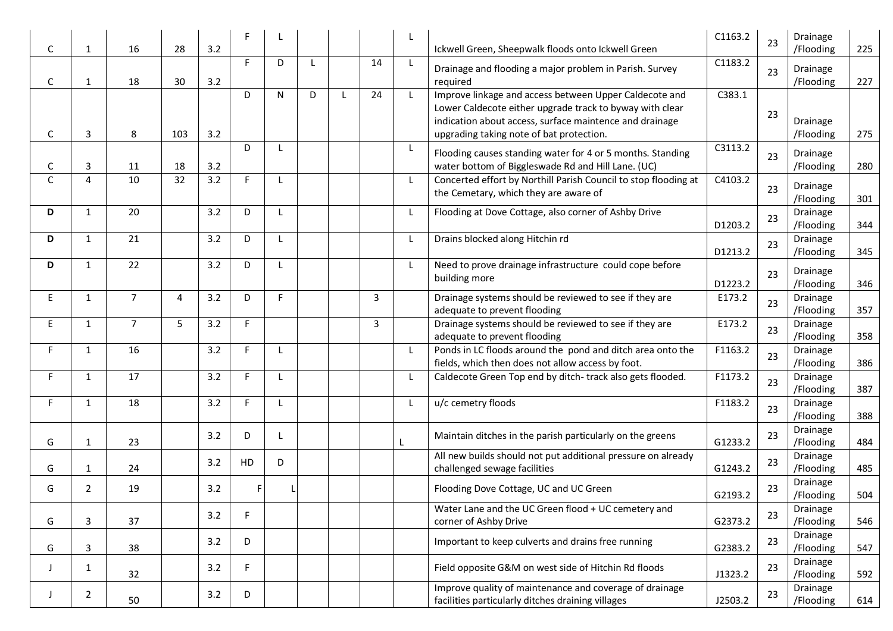| $\mathsf C$  | 1              | 16             | 28  | 3.2 |    |              |   |    |              | Ickwell Green, Sheepwalk floods onto Ickwell Green                                                                                                                                                                        | C1163.2 | 23 | Drainage<br>/Flooding | 225 |
|--------------|----------------|----------------|-----|-----|----|--------------|---|----|--------------|---------------------------------------------------------------------------------------------------------------------------------------------------------------------------------------------------------------------------|---------|----|-----------------------|-----|
| C            | -1             | 18             | 30  | 3.2 | F. | D            | L | 14 |              | Drainage and flooding a major problem in Parish. Survey<br>required                                                                                                                                                       | C1183.2 | 23 | Drainage<br>/Flooding | 227 |
| C            | 3              | 8              | 103 | 3.2 | D  | N            | D | 24 | $\perp$      | Improve linkage and access between Upper Caldecote and<br>Lower Caldecote either upgrade track to byway with clear<br>indication about access, surface maintence and drainage<br>upgrading taking note of bat protection. | C383.1  | 23 | Drainage<br>/Flooding | 275 |
| $\mathsf{C}$ | 3              | 11             | 18  | 3.2 | D  | $\mathbf{I}$ |   |    |              | Flooding causes standing water for 4 or 5 months. Standing<br>water bottom of Biggleswade Rd and Hill Lane. (UC)                                                                                                          | C3113.2 | 23 | Drainage<br>/Flooding | 280 |
| $\mathsf{C}$ | 4              | 10             | 32  | 3.2 | F. | L            |   |    |              | Concerted effort by Northill Parish Council to stop flooding at<br>the Cemetary, which they are aware of                                                                                                                  | C4103.2 | 23 | Drainage<br>/Flooding | 301 |
| D            | $\mathbf{1}$   | 20             |     | 3.2 | D  | $\mathsf{L}$ |   |    |              | Flooding at Dove Cottage, also corner of Ashby Drive                                                                                                                                                                      | D1203.2 | 23 | Drainage<br>/Flooding | 344 |
| D            | 1              | 21             |     | 3.2 | D  | $\mathsf{L}$ |   |    |              | Drains blocked along Hitchin rd                                                                                                                                                                                           | D1213.2 | 23 | Drainage<br>/Flooding | 345 |
| D            | 1              | 22             |     | 3.2 | D  | $\perp$      |   |    |              | Need to prove drainage infrastructure could cope before<br>building more                                                                                                                                                  | D1223.2 | 23 | Drainage<br>/Flooding | 346 |
| E            | 1              | $\overline{7}$ | 4   | 3.2 | D  | F            |   | 3  |              | Drainage systems should be reviewed to see if they are<br>adequate to prevent flooding                                                                                                                                    | E173.2  | 23 | Drainage<br>/Flooding | 357 |
| E.           | 1              | $\overline{7}$ | 5   | 3.2 | F  |              |   | 3  |              | Drainage systems should be reviewed to see if they are<br>adequate to prevent flooding                                                                                                                                    | E173.2  | 23 | Drainage<br>/Flooding | 358 |
| F.           | 1              | 16             |     | 3.2 | E  | $\mathbf{I}$ |   |    |              | Ponds in LC floods around the pond and ditch area onto the<br>fields, which then does not allow access by foot.                                                                                                           | F1163.2 | 23 | Drainage<br>/Flooding | 386 |
| F.           | $\mathbf{1}$   | 17             |     | 3.2 | E  | $\mathbf{I}$ |   |    | $\mathbf{I}$ | Caldecote Green Top end by ditch-track also gets flooded.                                                                                                                                                                 | F1173.2 | 23 | Drainage<br>/Flooding | 387 |
| F.           | 1              | 18             |     | 3.2 | F. | L            |   |    |              | u/c cemetry floods                                                                                                                                                                                                        | F1183.2 | 23 | Drainage<br>/Flooding | 388 |
| G            | 1              | 23             |     | 3.2 | D  | L            |   |    |              | Maintain ditches in the parish particularly on the greens                                                                                                                                                                 | G1233.2 | 23 | Drainage<br>/Flooding | 484 |
| G            | 1              | 24             |     | 3.2 | HD | D            |   |    |              | All new builds should not put additional pressure on already<br>challenged sewage facilities                                                                                                                              | G1243.2 | 23 | Drainage<br>/Flooding | 485 |
| G            | 2              | 19             |     | 3.2 | F  |              |   |    |              | Flooding Dove Cottage, UC and UC Green                                                                                                                                                                                    | G2193.2 | 23 | Drainage<br>/Flooding | 504 |
| G            | 3              | 37             |     | 3.2 | F  |              |   |    |              | Water Lane and the UC Green flood + UC cemetery and<br>corner of Ashby Drive                                                                                                                                              | G2373.2 | 23 | Drainage<br>/Flooding | 546 |
| G            | 3              | 38             |     | 3.2 | D  |              |   |    |              | Important to keep culverts and drains free running                                                                                                                                                                        | G2383.2 | 23 | Drainage<br>/Flooding | 547 |
| J            | 1              | 32             |     | 3.2 | F  |              |   |    |              | Field opposite G&M on west side of Hitchin Rd floods                                                                                                                                                                      | J1323.2 | 23 | Drainage<br>/Flooding | 592 |
| J            | $\overline{2}$ | 50             |     | 3.2 | D  |              |   |    |              | Improve quality of maintenance and coverage of drainage<br>facilities particularly ditches draining villages                                                                                                              | J2503.2 | 23 | Drainage<br>/Flooding | 614 |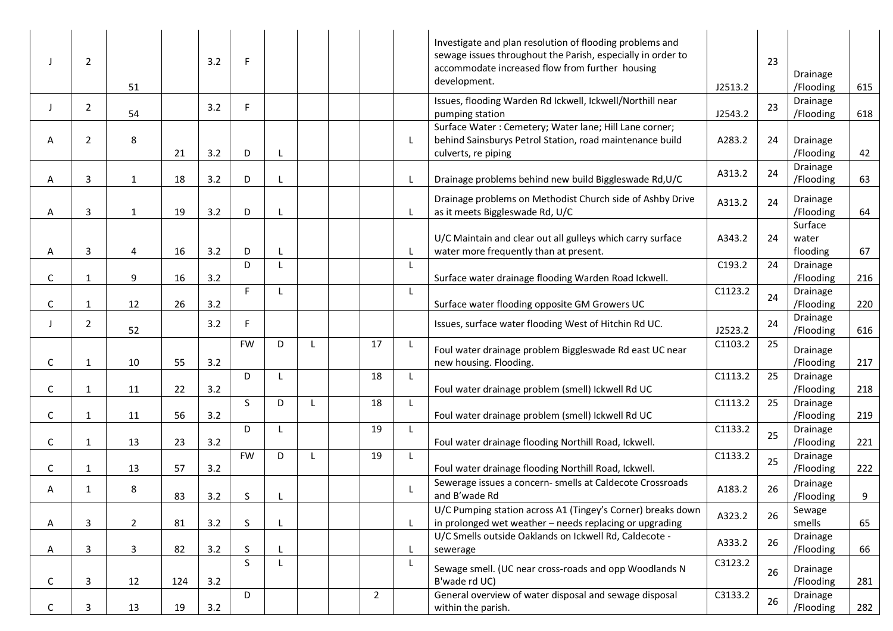|              | 2              | 51           |     | 3.2 | F.           |              |   |                |   | Investigate and plan resolution of flooding problems and<br>sewage issues throughout the Parish, especially in order to<br>accommodate increased flow from further housing<br>development. | J2513.2 | 23 | Drainage<br>/Flooding        | 615 |
|--------------|----------------|--------------|-----|-----|--------------|--------------|---|----------------|---|--------------------------------------------------------------------------------------------------------------------------------------------------------------------------------------------|---------|----|------------------------------|-----|
| $\mathbf{I}$ | $\mathbf{2}$   | 54           |     | 3.2 | F.           |              |   |                |   | Issues, flooding Warden Rd Ickwell, Ickwell/Northill near<br>pumping station                                                                                                               | J2543.2 | 23 | Drainage<br>/Flooding        | 618 |
| Α            | $\overline{2}$ | 8            | 21  | 3.2 | D            | $\mathsf{L}$ |   |                | L | Surface Water: Cemetery; Water lane; Hill Lane corner;<br>behind Sainsburys Petrol Station, road maintenance build<br>culverts, re piping                                                  | A283.2  | 24 | Drainage<br>/Flooding        | 42  |
| A            | 3              | $\mathbf{1}$ | 18  | 3.2 | D            |              |   |                |   | Drainage problems behind new build Biggleswade Rd, U/C                                                                                                                                     | A313.2  | 24 | Drainage<br>/Flooding        | 63  |
| А            | 3              | $\mathbf{1}$ | 19  | 3.2 | D            | L            |   |                |   | Drainage problems on Methodist Church side of Ashby Drive<br>as it meets Biggleswade Rd, U/C                                                                                               | A313.2  | 24 | Drainage<br>/Flooding        | 64  |
| Α            | 3              | 4            | 16  | 3.2 | D            |              |   |                |   | U/C Maintain and clear out all gulleys which carry surface<br>water more frequently than at present.                                                                                       | A343.2  | 24 | Surface<br>water<br>flooding | 67  |
| C            | 1              | 9            | 16  | 3.2 | D            | $\mathsf{L}$ |   |                |   | Surface water drainage flooding Warden Road Ickwell.                                                                                                                                       | C193.2  | 24 | Drainage<br>/Flooding        | 216 |
| С            | 1              | 12           | 26  | 3.2 | F.           | L            |   |                | L | Surface water flooding opposite GM Growers UC                                                                                                                                              | C1123.2 | 24 | Drainage<br>/Flooding        | 220 |
| $\mathbf{I}$ | $\mathbf{2}$   | 52           |     | 3.2 | F.           |              |   |                |   | Issues, surface water flooding West of Hitchin Rd UC.                                                                                                                                      | J2523.2 | 24 | Drainage<br>/Flooding        | 616 |
| С            | $\mathbf{1}$   | 10           | 55  | 3.2 | <b>FW</b>    | D            | L | 17             | L | Foul water drainage problem Biggleswade Rd east UC near<br>new housing. Flooding.                                                                                                          | C1103.2 | 25 | Drainage<br>/Flooding        | 217 |
| C            | 1              | 11           | 22  | 3.2 | D            | L            |   | 18             | L | Foul water drainage problem (smell) Ickwell Rd UC                                                                                                                                          | C1113.2 | 25 | Drainage<br>/Flooding        | 218 |
| С            | 1              | 11           | 56  | 3.2 | <sub>S</sub> | D            |   | 18             |   | Foul water drainage problem (smell) Ickwell Rd UC                                                                                                                                          | C1113.2 | 25 | Drainage<br>/Flooding        | 219 |
| C            | $\mathbf{1}$   | 13           | 23  | 3.2 | D            | L            |   | 19             | L | Foul water drainage flooding Northill Road, Ickwell.                                                                                                                                       | C1133.2 | 25 | Drainage<br>/Flooding        | 221 |
| C            | 1              | 13           | 57  | 3.2 | <b>FW</b>    | D            |   | 19             |   | Foul water drainage flooding Northill Road, Ickwell.                                                                                                                                       | C1133.2 | 25 | Drainage<br>/Flooding        | 222 |
| Α            | 1              | 8            | 83  | 3.2 | <sub>S</sub> |              |   |                |   | Sewerage issues a concern- smells at Caldecote Crossroads<br>and B'wade Rd                                                                                                                 | A183.2  | 26 | Drainage<br>/Flooding        | 9   |
| A            | 3              | $2^{\circ}$  | 81  | 3.2 | S            |              |   |                | L | U/C Pumping station across A1 (Tingey's Corner) breaks down<br>in prolonged wet weather - needs replacing or upgrading                                                                     | A323.2  | 26 | Sewage<br>smells             | 65  |
| A            | 3              | 3            | 82  | 3.2 | S            |              |   |                |   | U/C Smells outside Oaklands on Ickwell Rd, Caldecote -<br>sewerage                                                                                                                         | A333.2  | 26 | Drainage<br>/Flooding        | 66  |
| C            | 3              | 12           | 124 | 3.2 | S            | $\mathsf{L}$ |   |                | L | Sewage smell. (UC near cross-roads and opp Woodlands N<br>B'wade rd UC)                                                                                                                    | C3123.2 | 26 | Drainage<br>/Flooding        | 281 |
| C            | 3              | 13           | 19  | 3.2 | D            |              |   | $\overline{2}$ |   | General overview of water disposal and sewage disposal<br>within the parish.                                                                                                               | C3133.2 | 26 | Drainage<br>/Flooding        | 282 |